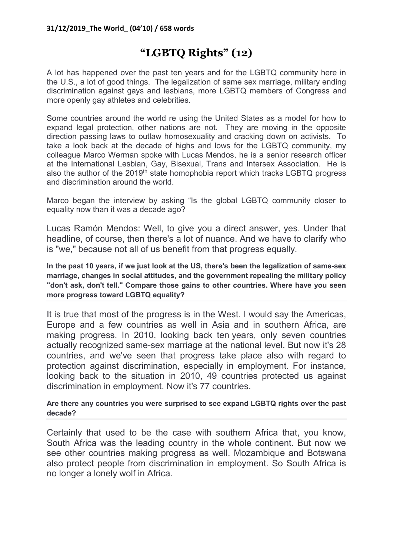## "LGBTQ Rights" (12)

A lot has happened over the past ten years and for the LGBTQ community here in the U.S., a lot of good things. The legalization of same sex marriage, military ending discrimination against gays and lesbians, more LGBTQ members of Congress and more openly gay athletes and celebrities.

Some countries around the world re using the United States as a model for how to expand legal protection, other nations are not. They are moving in the opposite direction passing laws to outlaw homosexuality and cracking down on activists. To take a look back at the decade of highs and lows for the LGBTQ community, my colleague Marco Werman spoke with Lucas Mendos, he is a senior research officer at the International Lesbian, Gay, Bisexual, Trans and Intersex Association. He is also the author of the  $2019<sup>th</sup>$  state homophobia report which tracks LGBTQ progress and discrimination around the world.

Marco began the interview by asking "Is the global LGBTQ community closer to equality now than it was a decade ago?

Lucas Ramón Mendos: Well, to give you a direct answer, yes. Under that headline, of course, then there's a lot of nuance. And we have to clarify who is "we," because not all of us benefit from that progress equally.

In the past 10 years, if we just look at the US, there's been the legalization of same-sex marriage, changes in social attitudes, and the government repealing the military policy "don't ask, don't tell." Compare those gains to other countries. Where have you seen more progress toward LGBTQ equality?

It is true that most of the progress is in the West. I would say the Americas, Europe and a few countries as well in Asia and in southern Africa, are making progress. In 2010, looking back ten years, only seven countries actually recognized same-sex marriage at the national level. But now it's 28 countries, and we've seen that progress take place also with regard to protection against discrimination, especially in employment. For instance, looking back to the situation in 2010, 49 countries protected us against discrimination in employment. Now it's 77 countries.

## Are there any countries you were surprised to see expand LGBTQ rights over the past decade?

Certainly that used to be the case with southern Africa that, you know, South Africa was the leading country in the whole continent. But now we see other countries making progress as well. Mozambique and Botswana also protect people from discrimination in employment. So South Africa is no longer a lonely wolf in Africa.